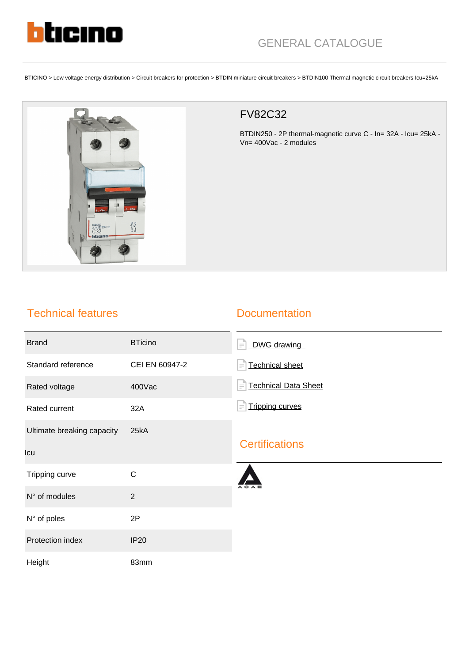

# GENERAL CATALOGUE

BTICINO > Low voltage energy distribution > Circuit breakers for protection > BTDIN miniature circuit breakers > BTDIN100 Thermal magnetic circuit breakers Icu=25kA



### FV82C32

BTDIN250 - 2P thermal-magnetic curve C - In= 32A - Icu= 25kA - Vn= 400Vac - 2 modules

## Technical features

#### **Documentation**

| <b>Brand</b>                      | <b>BTicino</b> | DWG drawing<br>$\equiv$            |
|-----------------------------------|----------------|------------------------------------|
| Standard reference                | CEI EN 60947-2 | <b>Technical sheet</b><br>$\equiv$ |
| Rated voltage                     | 400Vac         | <b>Technical Data Sheet</b><br>F   |
| Rated current                     | 32A            | <b>Tripping curves</b><br>$\equiv$ |
| Ultimate breaking capacity<br>Icu | 25kA           | <b>Certifications</b>              |
| Tripping curve                    | $\mathbf C$    |                                    |
| N° of modules                     | $\overline{2}$ |                                    |
| N° of poles                       | 2P             |                                    |
| Protection index                  | <b>IP20</b>    |                                    |
| Height                            | 83mm           |                                    |